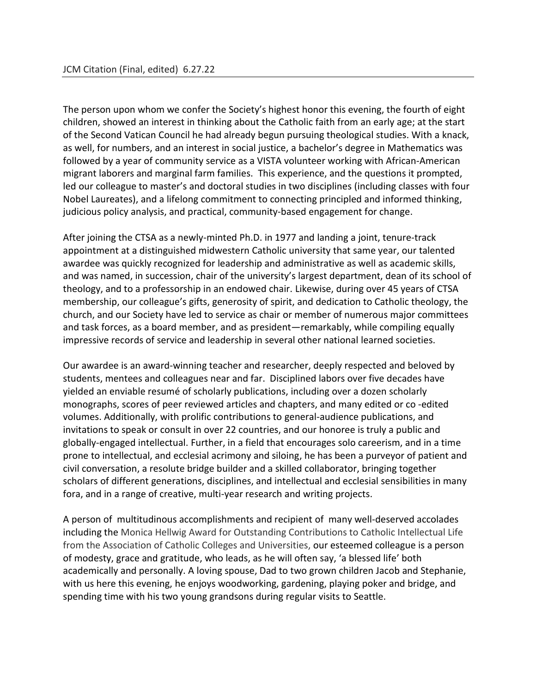The person upon whom we confer the Society's highest honor this evening, the fourth of eight children, showed an interest in thinking about the Catholic faith from an early age; at the start of the Second Vatican Council he had already begun pursuing theological studies. With a knack, as well, for numbers, and an interest in social justice, a bachelor's degree in Mathematics was followed by a year of community service as a VISTA volunteer working with African-American migrant laborers and marginal farm families. This experience, and the questions it prompted, led our colleague to master's and doctoral studies in two disciplines (including classes with four Nobel Laureates), and a lifelong commitment to connecting principled and informed thinking, judicious policy analysis, and practical, community-based engagement for change.

After joining the CTSA as a newly-minted Ph.D. in 1977 and landing a joint, tenure-track appointment at a distinguished midwestern Catholic university that same year, our talented awardee was quickly recognized for leadership and administrative as well as academic skills, and was named, in succession, chair of the university's largest department, dean of its school of theology, and to a professorship in an endowed chair. Likewise, during over 45 years of CTSA membership, our colleague's gifts, generosity of spirit, and dedication to Catholic theology, the church, and our Society have led to service as chair or member of numerous major committees and task forces, as a board member, and as president—remarkably, while compiling equally impressive records of service and leadership in several other national learned societies.

Our awardee is an award-winning teacher and researcher, deeply respected and beloved by students, mentees and colleagues near and far. Disciplined labors over five decades have yielded an enviable resumé of scholarly publications, including over a dozen scholarly monographs, scores of peer reviewed articles and chapters, and many edited or co -edited volumes. Additionally, with prolific contributions to general-audience publications, and invitations to speak or consult in over 22 countries, and our honoree is truly a public and globally-engaged intellectual. Further, in a field that encourages solo careerism, and in a time prone to intellectual, and ecclesial acrimony and siloing, he has been a purveyor of patient and civil conversation, a resolute bridge builder and a skilled collaborator, bringing together scholars of different generations, disciplines, and intellectual and ecclesial sensibilities in many fora, and in a range of creative, multi-year research and writing projects.

A person of multitudinous accomplishments and recipient of many well-deserved accolades including the Monica Hellwig Award for Outstanding Contributions to Catholic Intellectual Life from the Association of Catholic Colleges and Universities, our esteemed colleague is a person of modesty, grace and gratitude, who leads, as he will often say, 'a blessed life' both academically and personally. A loving spouse, Dad to two grown children Jacob and Stephanie, with us here this evening, he enjoys woodworking, gardening, playing poker and bridge, and spending time with his two young grandsons during regular visits to Seattle.